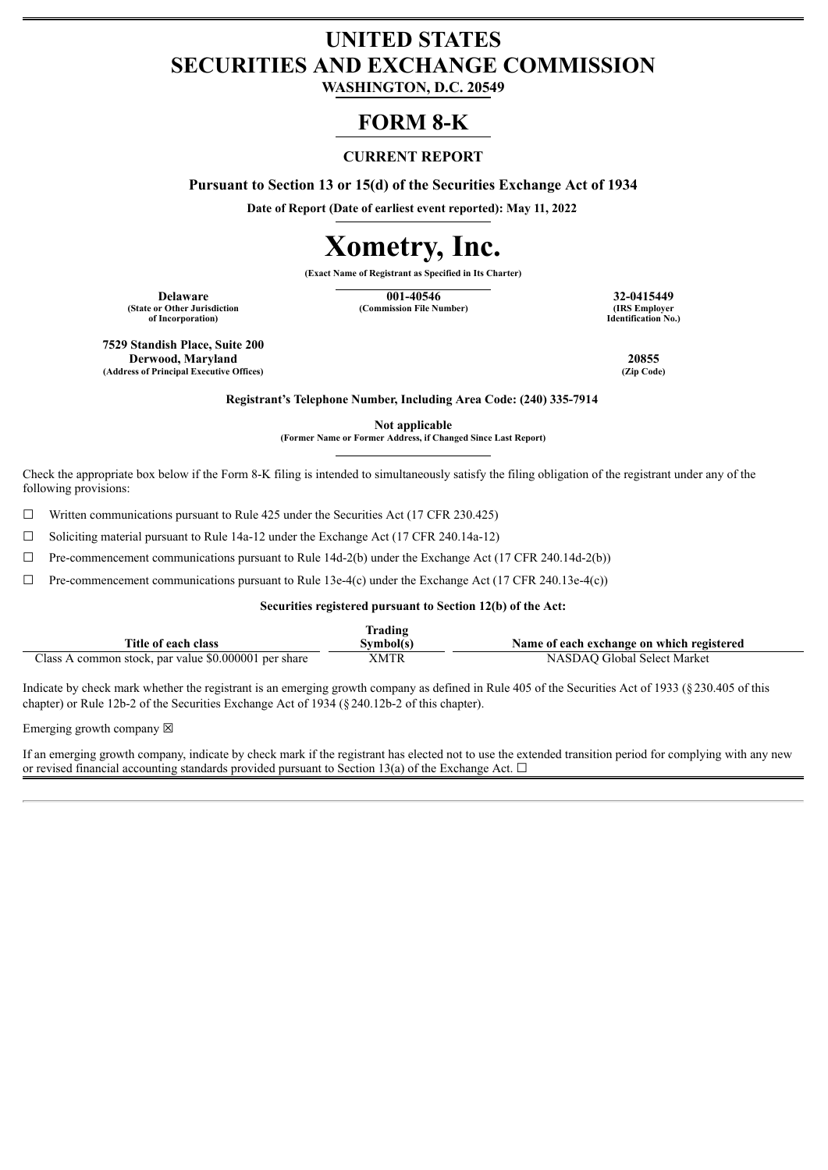# **UNITED STATES SECURITIES AND EXCHANGE COMMISSION**

**WASHINGTON, D.C. 20549**

# **FORM 8-K**

#### **CURRENT REPORT**

**Pursuant to Section 13 or 15(d) of the Securities Exchange Act of 1934**

**Date of Report (Date of earliest event reported): May 11, 2022**

# **Xometry, Inc.**

**(Exact Name of Registrant as Specified in Its Charter)**

**(State or Other Jurisdiction of Incorporation)**

**Delaware 122-0415449 122-0415449 122-0415449 132-0415449 132-0415449 132-0415449 132-0415449 132-0415449 (Commission File Number)** 

**Identification No.)**

**7529 Standish Place, Suite 200 Derwood, Maryland 20855 (Address of Principal Executive Offices)** 

**Registrant's Telephone Number, Including Area Code: (240) 335-7914**

**Not applicable**

**(Former Name or Former Address, if Changed Since Last Report)**

Check the appropriate box below if the Form 8-K filing is intended to simultaneously satisfy the filing obligation of the registrant under any of the following provisions:

 $\Box$  Written communications pursuant to Rule 425 under the Securities Act (17 CFR 230.425)

☐ Soliciting material pursuant to Rule 14a-12 under the Exchange Act (17 CFR 240.14a-12)

 $\Box$  Pre-commencement communications pursuant to Rule 14d-2(b) under the Exchange Act (17 CFR 240.14d-2(b))

 $\Box$  Pre-commencement communications pursuant to Rule 13e-4(c) under the Exchange Act (17 CFR 240.13e-4(c))

#### **Securities registered pursuant to Section 12(b) of the Act:**

|                                                      | Trading   |                                           |
|------------------------------------------------------|-----------|-------------------------------------------|
| Title of each class                                  | Svmbol(s` | Name of each exchange on which registered |
| Class A common stock, par value \$0.000001 per share | XMTR      | NASDAO Global Select Market               |

Indicate by check mark whether the registrant is an emerging growth company as defined in Rule 405 of the Securities Act of 1933 (§230.405 of this chapter) or Rule 12b-2 of the Securities Exchange Act of 1934 (§240.12b-2 of this chapter).

Emerging growth company  $\boxtimes$ 

If an emerging growth company, indicate by check mark if the registrant has elected not to use the extended transition period for complying with any new or revised financial accounting standards provided pursuant to Section 13(a) of the Exchange Act.  $\Box$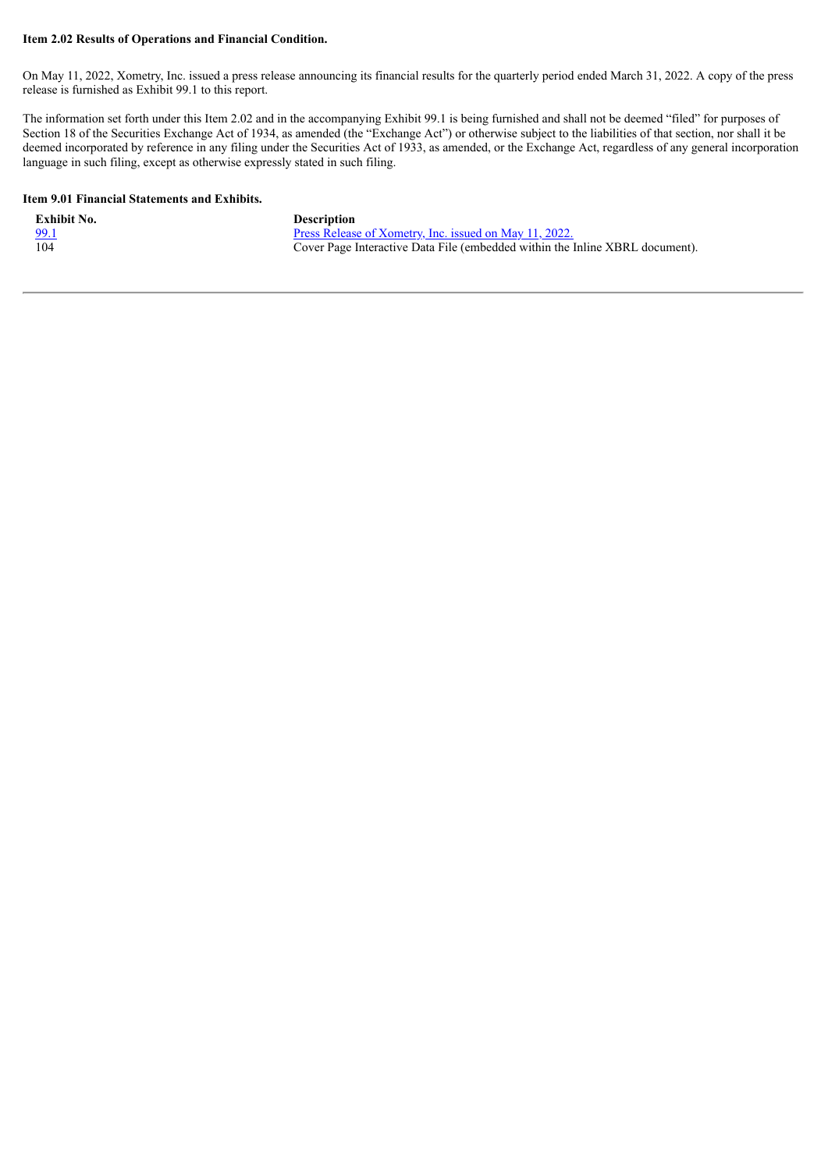#### **Item 2.02 Results of Operations and Financial Condition.**

On May 11, 2022, Xometry, Inc. issued a press release announcing its financial results for the quarterly period ended March 31, 2022. A copy of the press release is furnished as Exhibit 99.1 to this report.

The information set forth under this Item 2.02 and in the accompanying Exhibit 99.1 is being furnished and shall not be deemed "filed" for purposes of Section 18 of the Securities Exchange Act of 1934, as amended (the "Exchange Act") or otherwise subject to the liabilities of that section, nor shall it be deemed incorporated by reference in any filing under the Securities Act of 1933, as amended, or the Exchange Act, regardless of any general incorporation language in such filing, except as otherwise expressly stated in such filing.

#### **Item 9.01 Financial Statements and Exhibits.**

**Exhibit No. Description**<br>99.1 **Press Release** [99.1](#page-3-0) Press Release of [Xometry,](#page-3-0) Inc. issued on May 11, 2022.<br>104 Cover Page Interactive Data File (embedded within the Cover Page Interactive Data File (embedded within the Inline XBRL document).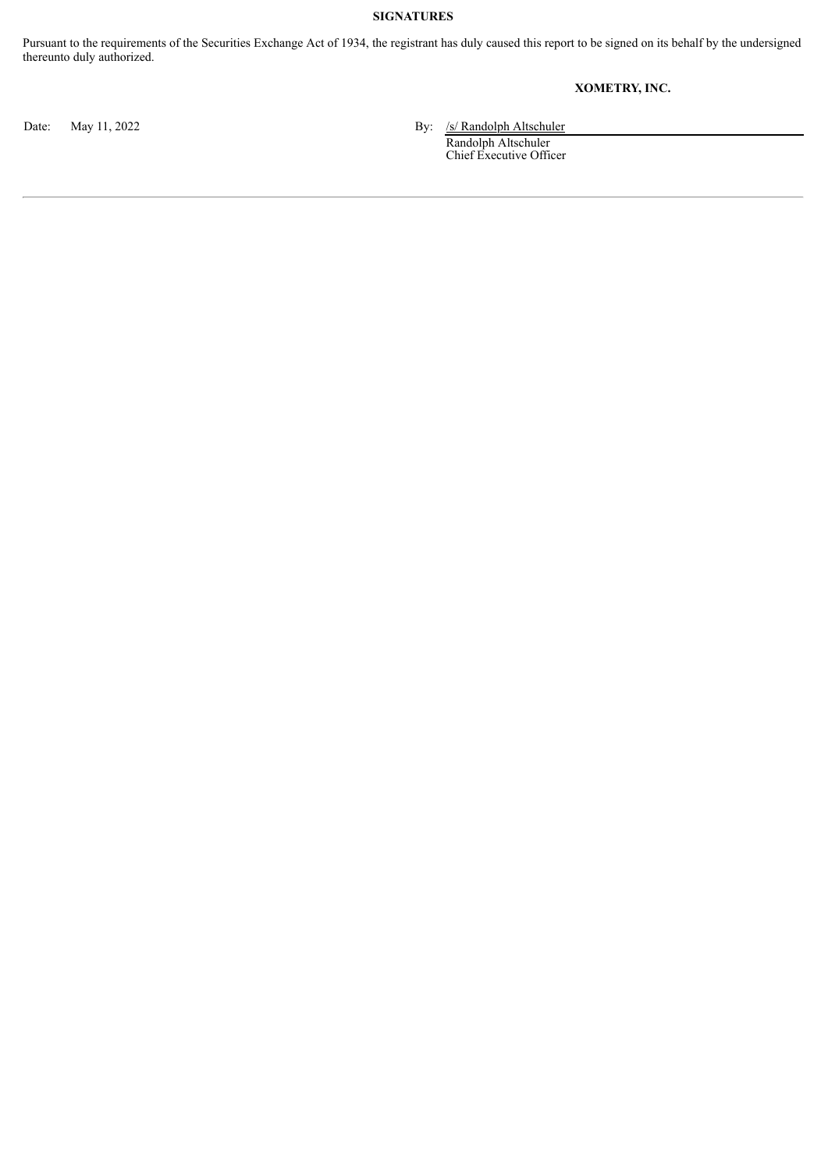#### **SIGNATURES**

Pursuant to the requirements of the Securities Exchange Act of 1934, the registrant has duly caused this report to be signed on its behalf by the undersigned thereunto duly authorized.

#### **XOMETRY, INC.**

Date: May 11, 2022 By: /s/ Randolph Altschuler

Randolph Altschuler Chief Executive Officer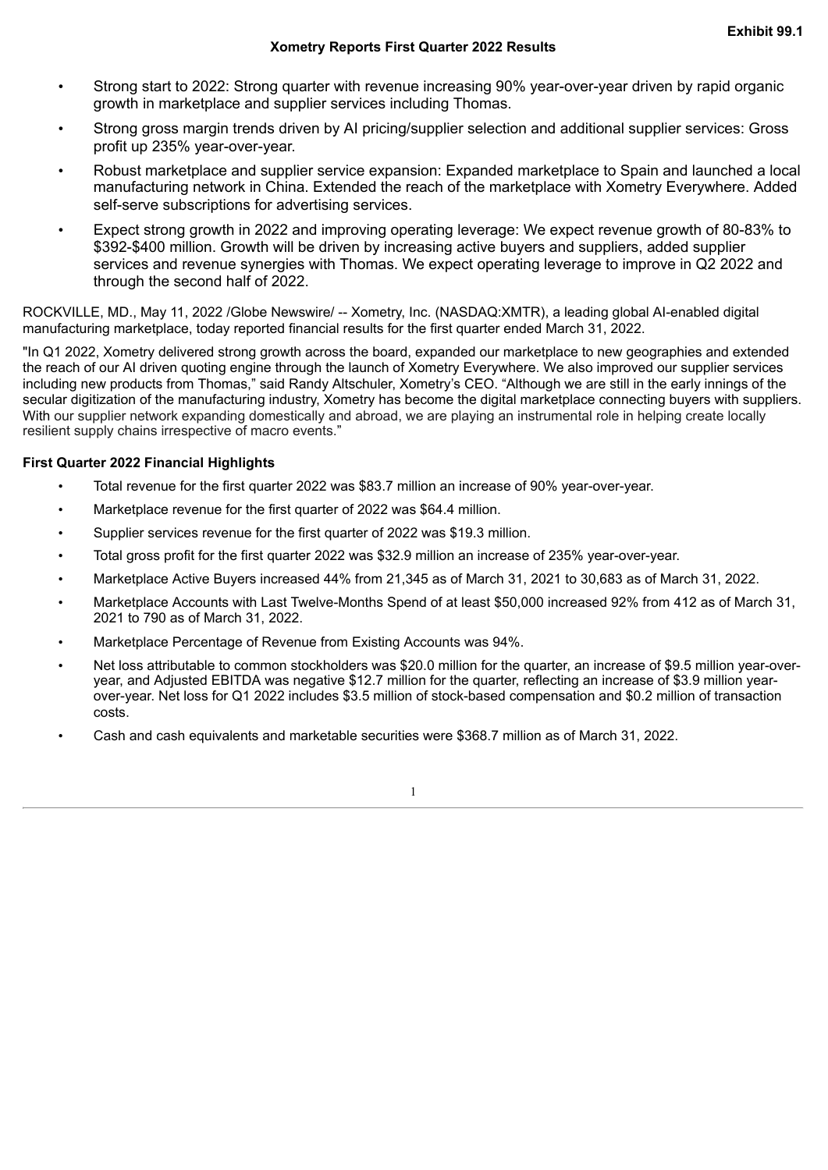- <span id="page-3-0"></span>• Strong start to 2022: Strong quarter with revenue increasing 90% year-over-year driven by rapid organic growth in marketplace and supplier services including Thomas.
- Strong gross margin trends driven by AI pricing/supplier selection and additional supplier services: Gross profit up 235% year-over-year.
- Robust marketplace and supplier service expansion: Expanded marketplace to Spain and launched a local manufacturing network in China. Extended the reach of the marketplace with Xometry Everywhere. Added self-serve subscriptions for advertising services.
- Expect strong growth in 2022 and improving operating leverage: We expect revenue growth of 80-83% to \$392-\$400 million. Growth will be driven by increasing active buyers and suppliers, added supplier services and revenue synergies with Thomas. We expect operating leverage to improve in Q2 2022 and through the second half of 2022.

ROCKVILLE, MD., May 11, 2022 /Globe Newswire/ -- Xometry, Inc. (NASDAQ:XMTR), a leading global AI-enabled digital manufacturing marketplace, today reported financial results for the first quarter ended March 31, 2022.

"In Q1 2022, Xometry delivered strong growth across the board, expanded our marketplace to new geographies and extended the reach of our AI driven quoting engine through the launch of Xometry Everywhere. We also improved our supplier services including new products from Thomas," said Randy Altschuler, Xometry's CEO. "Although we are still in the early innings of the secular digitization of the manufacturing industry, Xometry has become the digital marketplace connecting buyers with suppliers. With our supplier network expanding domestically and abroad, we are playing an instrumental role in helping create locally resilient supply chains irrespective of macro events."

#### **First Quarter 2022 Financial Highlights**

- Total revenue for the first quarter 2022 was \$83.7 million an increase of 90% year-over-year.
- Marketplace revenue for the first quarter of 2022 was \$64.4 million.
- Supplier services revenue for the first quarter of 2022 was \$19.3 million.
- Total gross profit for the first quarter 2022 was \$32.9 million an increase of 235% year-over-year.
- Marketplace Active Buyers increased 44% from 21,345 as of March 31, 2021 to 30,683 as of March 31, 2022.
- Marketplace Accounts with Last Twelve-Months Spend of at least \$50,000 increased 92% from 412 as of March 31, 2021 to 790 as of March 31, 2022.
- Marketplace Percentage of Revenue from Existing Accounts was 94%.
- Net loss attributable to common stockholders was \$20.0 million for the quarter, an increase of \$9.5 million year-overyear, and Adjusted EBITDA was negative \$12.7 million for the quarter, reflecting an increase of \$3.9 million yearover-year. Net loss for Q1 2022 includes \$3.5 million of stock-based compensation and \$0.2 million of transaction costs.
- Cash and cash equivalents and marketable securities were \$368.7 million as of March 31, 2022.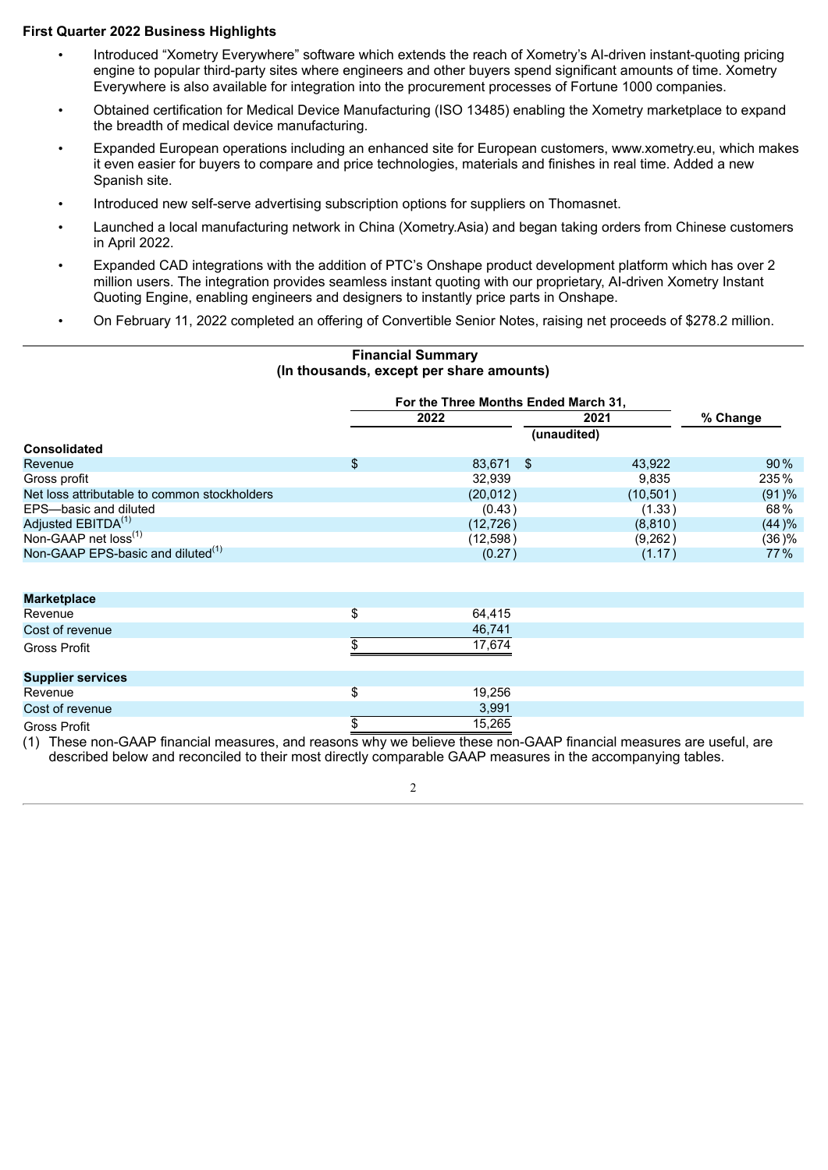#### **First Quarter 2022 Business Highlights**

- Introduced "Xometry Everywhere" software which extends the reach of Xometry's AI-driven instant-quoting pricing engine to popular third-party sites where engineers and other buyers spend significant amounts of time. Xometry Everywhere is also available for integration into the procurement processes of Fortune 1000 companies.
- Obtained certification for Medical Device Manufacturing (ISO 13485) enabling the Xometry marketplace to expand the breadth of medical device manufacturing.
- Expanded European operations including an enhanced site for European customers, www.xometry.eu, which makes it even easier for buyers to compare and price technologies, materials and finishes in real time. Added a new Spanish site.
- Introduced new self-serve advertising subscription options for suppliers on Thomasnet.
- Launched a local manufacturing network in China (Xometry.Asia) and began taking orders from Chinese customers in April 2022.
- Expanded CAD integrations with the addition of PTC's Onshape product development platform which has over 2 million users. The integration provides seamless instant quoting with our proprietary, AI-driven Xometry Instant Quoting Engine, enabling engineers and designers to instantly price parts in Onshape.
- On February 11, 2022 completed an offering of Convertible Senior Notes, raising net proceeds of \$278.2 million.

#### **Financial Summary (In thousands, except per share amounts)**

|                                               | For the Three Months Ended March 31, |               |             |          |
|-----------------------------------------------|--------------------------------------|---------------|-------------|----------|
|                                               |                                      | 2022          | 2021        | % Change |
|                                               |                                      |               | (unaudited) |          |
| <b>Consolidated</b>                           |                                      |               |             |          |
| Revenue                                       | $\mathfrak{F}$                       | 83,671<br>-\$ | 43,922      | 90%      |
| Gross profit                                  |                                      | 32,939        | 9,835       | 235%     |
| Net loss attributable to common stockholders  |                                      | (20,012)      | (10, 501)   | (91)%    |
| EPS-basic and diluted                         |                                      | (0.43)        | (1.33)      | 68%      |
| Adjusted EBITDA <sup>(1)</sup>                |                                      | (12, 726)     | (8, 810)    | (44)%    |
| Non-GAAP net loss <sup>(1)</sup>              |                                      | (12, 598)     | (9,262)     | $(36)$ % |
| Non-GAAP EPS-basic and diluted <sup>(1)</sup> |                                      | (0.27)        | (1.17)      | 77%      |
|                                               |                                      |               |             |          |
| <b>Marketplace</b>                            |                                      |               |             |          |
| Revenue                                       | \$                                   | 64,415        |             |          |
| Cost of revenue                               |                                      | 46,741        |             |          |
| Gross Profit                                  |                                      | 17,674        |             |          |
|                                               |                                      |               |             |          |
| <b>Supplier services</b>                      |                                      |               |             |          |
| Revenue                                       | \$                                   | 19,256        |             |          |
| Cost of revenue                               |                                      | 3,991         |             |          |
| <b>Gross Profit</b>                           | \$                                   | 15,265        |             |          |

(1) These non-GAAP financial measures, and reasons why we believe these non-GAAP financial measures are useful, are described below and reconciled to their most directly comparable GAAP measures in the accompanying tables.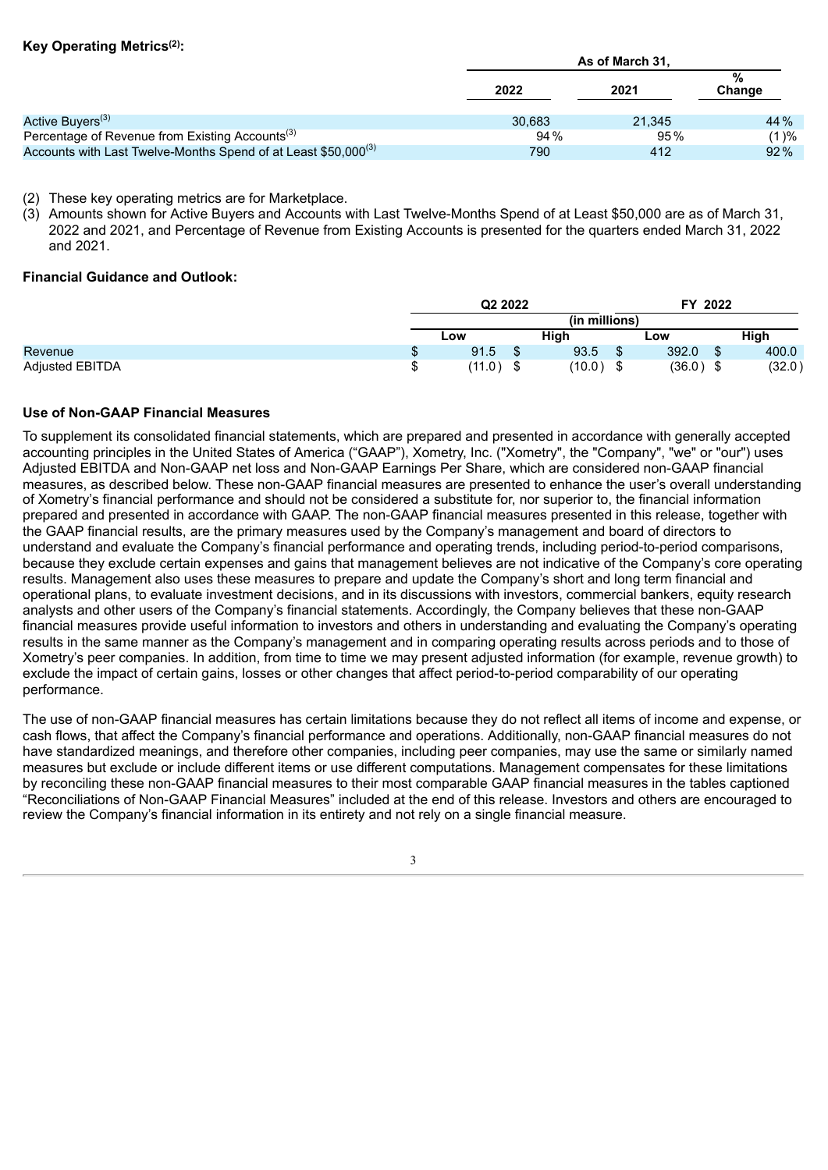#### **Key Operating Metrics(2):**

|                                                                            | As of March 31. |        |             |  |  |
|----------------------------------------------------------------------------|-----------------|--------|-------------|--|--|
|                                                                            | 2022            | 2021   | %<br>Change |  |  |
| Active Buyers <sup>(3)</sup>                                               | 30.683          | 21.345 | 44 %        |  |  |
| Percentage of Revenue from Existing Accounts <sup>(3)</sup>                | 94%             | 95%    | (1)%        |  |  |
| Accounts with Last Twelve-Months Spend of at Least \$50,000 <sup>(3)</sup> | 790             | 412    | 92%         |  |  |

#### (2) These key operating metrics are for Marketplace.

(3) Amounts shown for Active Buyers and Accounts with Last Twelve-Months Spend of at Least \$50,000 are as of March 31, 2022 and 2021, and Percentage of Revenue from Existing Accounts is presented for the quarters ended March 31, 2022 and 2021.

#### **Financial Guidance and Outlook:**

|                        |               | Q2 2022 |  | FY 2022 |  |        |  |        |
|------------------------|---------------|---------|--|---------|--|--------|--|--------|
|                        | (in millions) |         |  |         |  |        |  |        |
|                        |               | Low     |  | High    |  | Low    |  | Hiah   |
| Revenue                |               | 91.5    |  | 93.5    |  | 392.0  |  | 400.0  |
| <b>Adjusted EBITDA</b> |               | (11.0)  |  | (10.0)  |  | (36.0) |  | (32.0) |

#### **Use of Non-GAAP Financial Measures**

To supplement its consolidated financial statements, which are prepared and presented in accordance with generally accepted accounting principles in the United States of America ("GAAP"), Xometry, Inc. ("Xometry", the "Company", "we" or "our") uses Adjusted EBITDA and Non-GAAP net loss and Non-GAAP Earnings Per Share, which are considered non-GAAP financial measures, as described below. These non-GAAP financial measures are presented to enhance the user's overall understanding of Xometry's financial performance and should not be considered a substitute for, nor superior to, the financial information prepared and presented in accordance with GAAP. The non-GAAP financial measures presented in this release, together with the GAAP financial results, are the primary measures used by the Company's management and board of directors to understand and evaluate the Company's financial performance and operating trends, including period-to-period comparisons, because they exclude certain expenses and gains that management believes are not indicative of the Company's core operating results. Management also uses these measures to prepare and update the Company's short and long term financial and operational plans, to evaluate investment decisions, and in its discussions with investors, commercial bankers, equity research analysts and other users of the Company's financial statements. Accordingly, the Company believes that these non-GAAP financial measures provide useful information to investors and others in understanding and evaluating the Company's operating results in the same manner as the Company's management and in comparing operating results across periods and to those of Xometry's peer companies. In addition, from time to time we may present adjusted information (for example, revenue growth) to exclude the impact of certain gains, losses or other changes that affect period-to-period comparability of our operating performance.

The use of non-GAAP financial measures has certain limitations because they do not reflect all items of income and expense, or cash flows, that affect the Company's financial performance and operations. Additionally, non-GAAP financial measures do not have standardized meanings, and therefore other companies, including peer companies, may use the same or similarly named measures but exclude or include different items or use different computations. Management compensates for these limitations by reconciling these non-GAAP financial measures to their most comparable GAAP financial measures in the tables captioned "Reconciliations of Non-GAAP Financial Measures" included at the end of this release. Investors and others are encouraged to review the Company's financial information in its entirety and not rely on a single financial measure.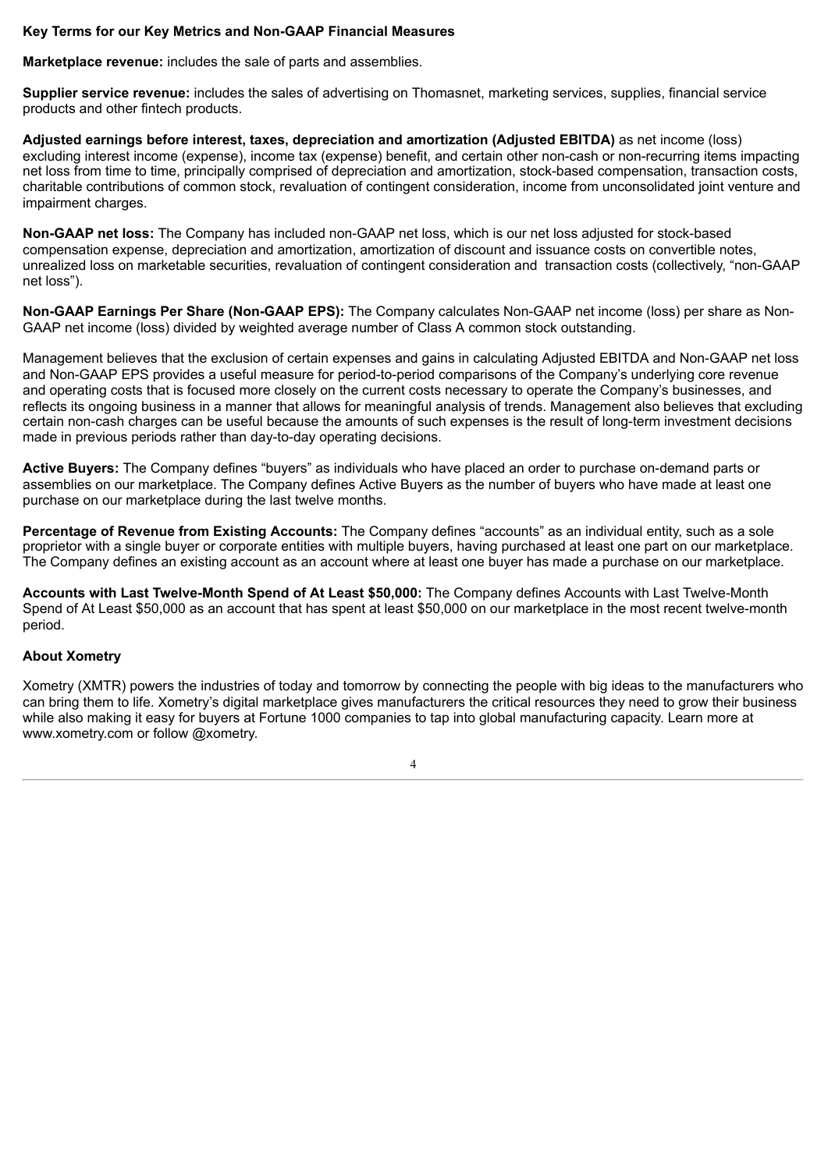#### **Key Terms for our Key Metrics and Non-GAAP Financial Measures**

**Marketplace revenue:** includes the sale of parts and assemblies.

**Supplier service revenue:** includes the sales of advertising on Thomasnet, marketing services, supplies, financial service products and other fintech products.

**Adjusted earnings before interest, taxes, depreciation and amortization (Adjusted EBITDA)** as net income (loss) excluding interest income (expense), income tax (expense) benefit, and certain other non-cash or non-recurring items impacting net loss from time to time, principally comprised of depreciation and amortization, stock-based compensation, transaction costs, charitable contributions of common stock, revaluation of contingent consideration, income from unconsolidated joint venture and impairment charges.

**Non-GAAP net loss:** The Company has included non-GAAP net loss, which is our net loss adjusted for stock-based compensation expense, depreciation and amortization, amortization of discount and issuance costs on convertible notes, unrealized loss on marketable securities, revaluation of contingent consideration and transaction costs (collectively, "non-GAAP net loss").

**Non-GAAP Earnings Per Share (Non-GAAP EPS):** The Company calculates Non-GAAP net income (loss) per share as Non-GAAP net income (loss) divided by weighted average number of Class A common stock outstanding.

Management believes that the exclusion of certain expenses and gains in calculating Adjusted EBITDA and Non-GAAP net loss and Non-GAAP EPS provides a useful measure for period-to-period comparisons of the Company's underlying core revenue and operating costs that is focused more closely on the current costs necessary to operate the Company's businesses, and reflects its ongoing business in a manner that allows for meaningful analysis of trends. Management also believes that excluding certain non-cash charges can be useful because the amounts of such expenses is the result of long-term investment decisions made in previous periods rather than day-to-day operating decisions.

**Active Buyers:** The Company defines "buyers" as individuals who have placed an order to purchase on-demand parts or assemblies on our marketplace. The Company defines Active Buyers as the number of buyers who have made at least one purchase on our marketplace during the last twelve months.

**Percentage of Revenue from Existing Accounts:** The Company defines "accounts" as an individual entity, such as a sole proprietor with a single buyer or corporate entities with multiple buyers, having purchased at least one part on our marketplace. The Company defines an existing account as an account where at least one buyer has made a purchase on our marketplace.

**Accounts with Last Twelve-Month Spend of At Least \$50,000:** The Company defines Accounts with Last Twelve-Month Spend of At Least \$50,000 as an account that has spent at least \$50,000 on our marketplace in the most recent twelve-month period.

#### **About Xometry**

Xometry (XMTR) powers the industries of today and tomorrow by connecting the people with big ideas to the manufacturers who can bring them to life. Xometry's digital marketplace gives manufacturers the critical resources they need to grow their business while also making it easy for buyers at Fortune 1000 companies to tap into global manufacturing capacity. Learn more at www.xometry.com or follow @xometry.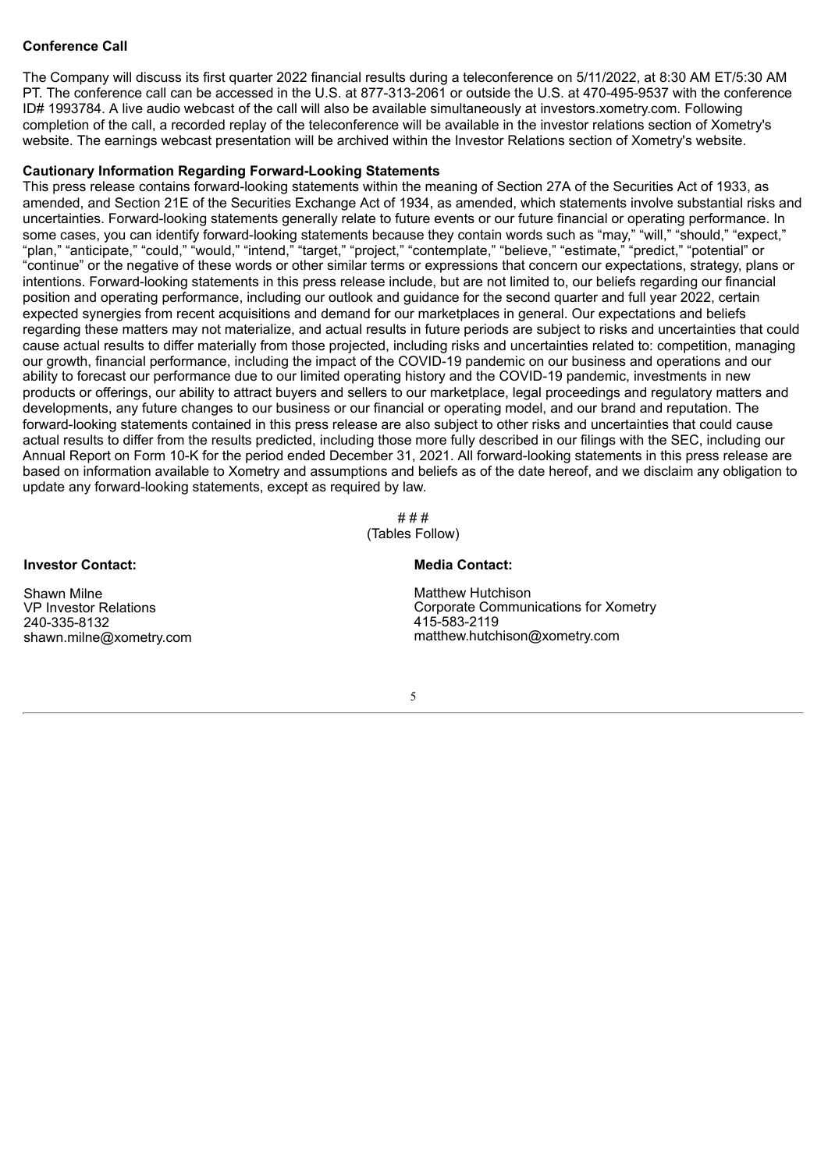#### **Conference Call**

The Company will discuss its first quarter 2022 financial results during a teleconference on 5/11/2022, at 8:30 AM ET/5:30 AM PT. The conference call can be accessed in the U.S. at 877-313-2061 or outside the U.S. at 470-495-9537 with the conference ID# 1993784. A live audio webcast of the call will also be available simultaneously at investors.xometry.com. Following completion of the call, a recorded replay of the teleconference will be available in the investor relations section of Xometry's website. The earnings webcast presentation will be archived within the Investor Relations section of Xometry's website.

#### **Cautionary Information Regarding Forward-Looking Statements**

This press release contains forward-looking statements within the meaning of Section 27A of the Securities Act of 1933, as amended, and Section 21E of the Securities Exchange Act of 1934, as amended, which statements involve substantial risks and uncertainties. Forward-looking statements generally relate to future events or our future financial or operating performance. In some cases, you can identify forward-looking statements because they contain words such as "may," "will," "should," "expect," "plan," "anticipate," "could," "would," "intend," "target," "project," "contemplate," "believe," "estimate," "predict," "potential" or "continue" or the negative of these words or other similar terms or expressions that concern our expectations, strategy, plans or intentions. Forward-looking statements in this press release include, but are not limited to, our beliefs regarding our financial position and operating performance, including our outlook and guidance for the second quarter and full year 2022, certain expected synergies from recent acquisitions and demand for our marketplaces in general. Our expectations and beliefs regarding these matters may not materialize, and actual results in future periods are subject to risks and uncertainties that could cause actual results to differ materially from those projected, including risks and uncertainties related to: competition, managing our growth, financial performance, including the impact of the COVID-19 pandemic on our business and operations and our ability to forecast our performance due to our limited operating history and the COVID-19 pandemic, investments in new products or offerings, our ability to attract buyers and sellers to our marketplace, legal proceedings and regulatory matters and developments, any future changes to our business or our financial or operating model, and our brand and reputation. The forward-looking statements contained in this press release are also subject to other risks and uncertainties that could cause actual results to differ from the results predicted, including those more fully described in our filings with the SEC, including our Annual Report on Form 10-K for the period ended December 31, 2021. All forward-looking statements in this press release are based on information available to Xometry and assumptions and beliefs as of the date hereof, and we disclaim any obligation to update any forward-looking statements, except as required by law.

> # # # (Tables Follow)

#### **Investor Contact: Media Contact: Media Media Contact:**

Shawn Milne VP Investor Relations 240-335-8132 shawn.milne@xometry.com

Matthew Hutchison Corporate Communications for Xometry 415-583-2119 matthew.hutchison@xometry.com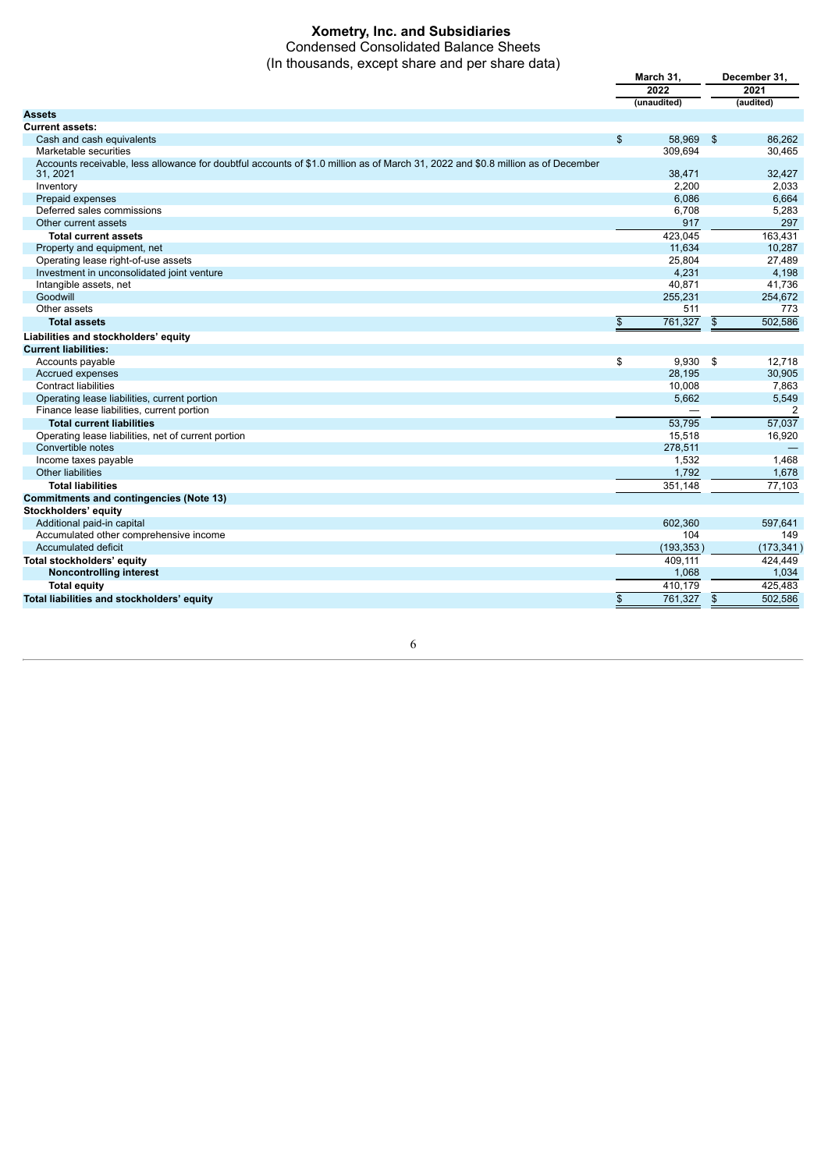Condensed Consolidated Balance Sheets

(In thousands, except share and per share data)

|                                                                                                                                              |               | March 31,   |                | December 31, |
|----------------------------------------------------------------------------------------------------------------------------------------------|---------------|-------------|----------------|--------------|
|                                                                                                                                              |               | 2022        |                | 2021         |
|                                                                                                                                              |               | (unaudited) |                | (audited)    |
| <b>Assets</b>                                                                                                                                |               |             |                |              |
| <b>Current assets:</b>                                                                                                                       |               |             |                |              |
| Cash and cash equivalents                                                                                                                    | \$            | 58,969 \$   |                | 86,262       |
| Marketable securities                                                                                                                        |               | 309,694     |                | 30,465       |
| Accounts receivable, less allowance for doubtful accounts of \$1.0 million as of March 31, 2022 and \$0.8 million as of December<br>31, 2021 |               | 38,471      |                | 32,427       |
| Inventory                                                                                                                                    |               | 2,200       |                | 2,033        |
| Prepaid expenses                                                                                                                             |               | 6,086       |                | 6,664        |
| Deferred sales commissions                                                                                                                   |               | 6,708       |                | 5,283        |
| Other current assets                                                                                                                         |               | 917         |                | 297          |
| <b>Total current assets</b>                                                                                                                  |               | 423.045     |                | 163,431      |
| Property and equipment, net                                                                                                                  |               | 11,634      |                | 10,287       |
| Operating lease right-of-use assets                                                                                                          |               | 25,804      |                | 27,489       |
| Investment in unconsolidated joint venture                                                                                                   |               | 4,231       |                | 4,198        |
| Intangible assets, net                                                                                                                       |               | 40,871      |                | 41,736       |
| Goodwill                                                                                                                                     |               | 255.231     |                | 254.672      |
| Other assets                                                                                                                                 |               | 511         |                | 773          |
| <b>Total assets</b>                                                                                                                          | $\mathsf{\$}$ | 761,327     | $\sqrt{3}$     | 502,586      |
| Liabilities and stockholders' equity                                                                                                         |               |             |                |              |
| <b>Current liabilities:</b>                                                                                                                  |               |             |                |              |
| Accounts payable                                                                                                                             | \$            | $9,930$ \$  |                | 12,718       |
| Accrued expenses                                                                                                                             |               | 28,195      |                | 30,905       |
| <b>Contract liabilities</b>                                                                                                                  |               | 10.008      |                | 7.863        |
| Operating lease liabilities, current portion                                                                                                 |               | 5,662       |                | 5,549        |
| Finance lease liabilities, current portion                                                                                                   |               |             |                | 2            |
| <b>Total current liabilities</b>                                                                                                             |               | 53,795      |                | 57,037       |
| Operating lease liabilities, net of current portion                                                                                          |               | 15,518      |                | 16,920       |
| Convertible notes                                                                                                                            |               | 278,511     |                |              |
| Income taxes payable                                                                                                                         |               | 1,532       |                | 1,468        |
| <b>Other liabilities</b>                                                                                                                     |               | 1,792       |                | 1,678        |
| <b>Total liabilities</b>                                                                                                                     |               | 351,148     |                | 77,103       |
| <b>Commitments and contingencies (Note 13)</b>                                                                                               |               |             |                |              |
| Stockholders' equity                                                                                                                         |               |             |                |              |
| Additional paid-in capital                                                                                                                   |               | 602,360     |                | 597,641      |
| Accumulated other comprehensive income                                                                                                       |               | 104         |                | 149          |
| Accumulated deficit                                                                                                                          |               | (193, 353)  |                | (173, 341)   |
| Total stockholders' equity                                                                                                                   |               | 409,111     |                | 424,449      |
| <b>Noncontrolling interest</b>                                                                                                               |               | 1,068       |                | 1,034        |
| <b>Total equity</b>                                                                                                                          |               | 410,179     |                | 425,483      |
| Total liabilities and stockholders' equity                                                                                                   | \$            | 761,327     | $\mathfrak{S}$ | 502,586      |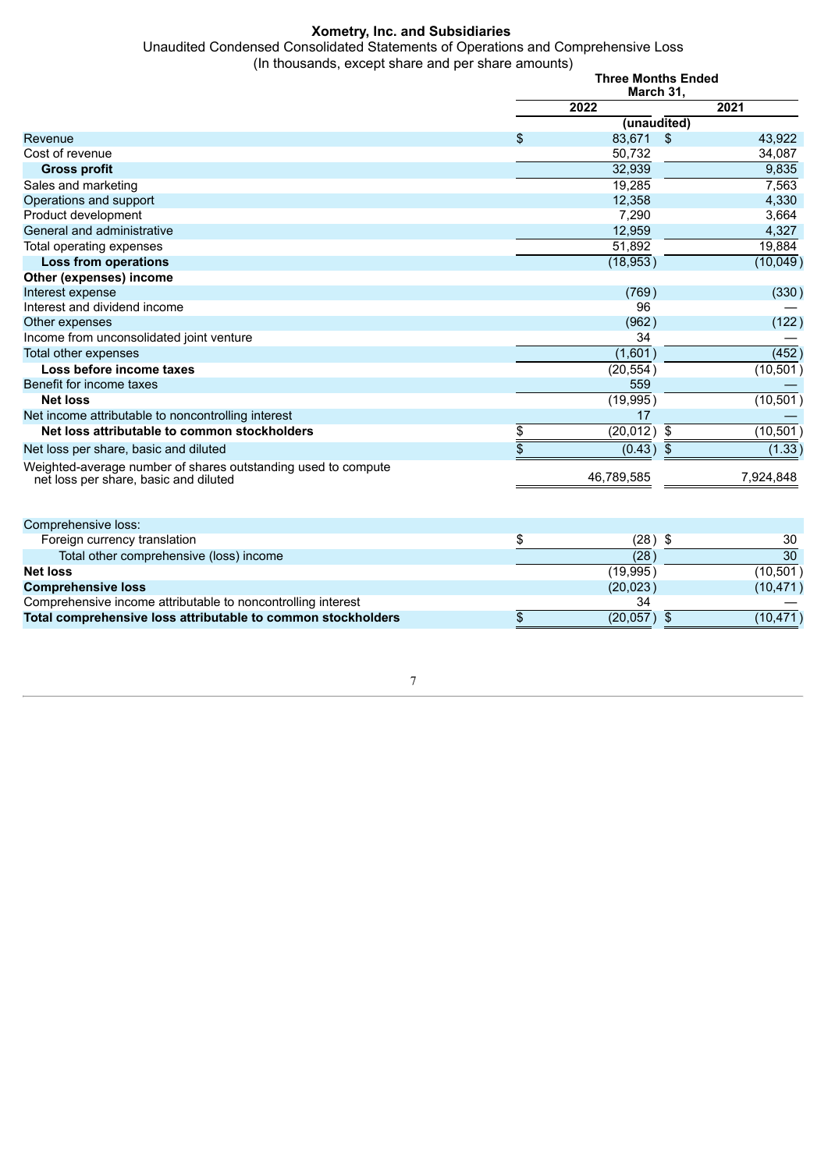Unaudited Condensed Consolidated Statements of Operations and Comprehensive Loss (In thousands, except share and per share amounts)

|                                                                                                        | <b>Three Months Ended</b><br>March 31, |               |             |                 |  |
|--------------------------------------------------------------------------------------------------------|----------------------------------------|---------------|-------------|-----------------|--|
|                                                                                                        |                                        | 2022          |             | 2021            |  |
|                                                                                                        |                                        |               | (unaudited) |                 |  |
| Revenue                                                                                                | \$                                     | 83,671        | \$          | 43,922          |  |
| Cost of revenue                                                                                        |                                        | 50,732        |             | 34,087          |  |
| <b>Gross profit</b>                                                                                    |                                        | 32,939        |             | 9,835           |  |
| Sales and marketing                                                                                    |                                        | 19,285        |             | 7,563           |  |
| Operations and support                                                                                 |                                        | 12,358        |             | 4,330           |  |
| Product development                                                                                    |                                        | 7,290         |             | 3,664           |  |
| General and administrative                                                                             |                                        | 12,959        |             | 4,327           |  |
| Total operating expenses                                                                               |                                        | 51,892        |             | 19,884          |  |
| <b>Loss from operations</b>                                                                            |                                        | (18, 953)     |             | (10,049)        |  |
| Other (expenses) income                                                                                |                                        |               |             |                 |  |
| Interest expense                                                                                       |                                        | (769)         |             | (330)           |  |
| Interest and dividend income                                                                           |                                        | 96            |             |                 |  |
| Other expenses                                                                                         |                                        | (962)         |             | (122)           |  |
| Income from unconsolidated joint venture                                                               |                                        | 34            |             |                 |  |
| Total other expenses                                                                                   |                                        | (1,601)       |             | (452)           |  |
| Loss before income taxes                                                                               |                                        | (20, 554)     |             | (10, 501)       |  |
| Benefit for income taxes                                                                               |                                        | 559           |             |                 |  |
| <b>Net loss</b>                                                                                        |                                        | (19, 995)     |             | (10, 501)       |  |
| Net income attributable to noncontrolling interest                                                     |                                        | 17            |             |                 |  |
| Net loss attributable to common stockholders                                                           |                                        | $(20,012)$ \$ |             | (10, 501)       |  |
| Net loss per share, basic and diluted                                                                  | $\frac{3}{3}$                          | $(0.43)$ \$   |             | (1.33)          |  |
| Weighted-average number of shares outstanding used to compute<br>net loss per share, basic and diluted |                                        | 46,789,585    |             | 7,924,848       |  |
| Comprehensive loss:                                                                                    |                                        |               |             |                 |  |
| Foreign currency translation                                                                           | \$                                     | (28)          | \$          | 30              |  |
| Total other comprehensive (loss) income                                                                |                                        | (28)          |             | $\overline{30}$ |  |
| <b>Net loss</b>                                                                                        |                                        | (19,995)      |             | (10, 501)       |  |
| <b>Comprehensive loss</b>                                                                              |                                        | (20, 023)     |             | (10, 471)       |  |
| Comprehensive income attributable to noncontrolling interest                                           |                                        | 34            |             |                 |  |
| Total comprehensive loss attributable to common stockholders                                           | \$                                     | $(20,057)$ \$ |             | (10, 471)       |  |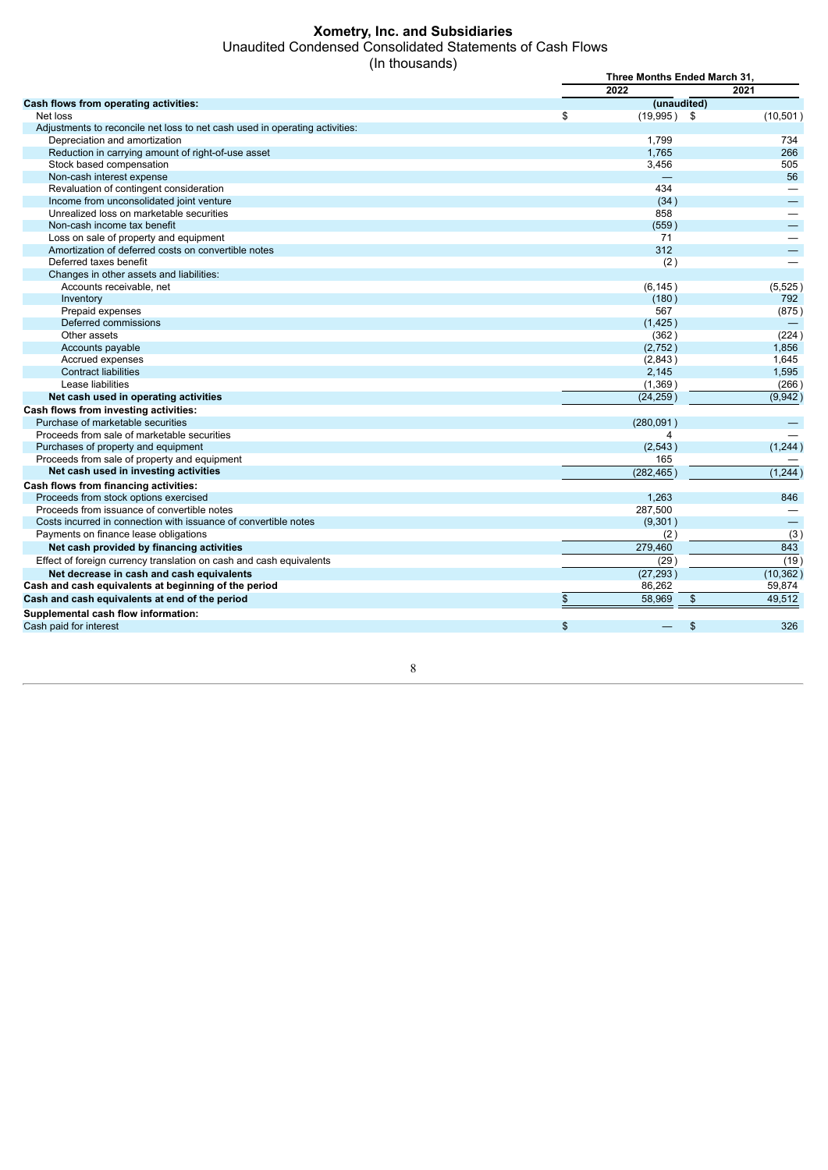### **Xometry, Inc. and Subsidiaries** Unaudited Condensed Consolidated Statements of Cash Flows

| (In thousands)                                                              |                              |              |
|-----------------------------------------------------------------------------|------------------------------|--------------|
|                                                                             | Three Months Ended March 31, |              |
|                                                                             | 2022                         | 2021         |
| Cash flows from operating activities:                                       | (unaudited)                  |              |
| Net loss                                                                    | \$<br>$(19,995)$ \$          | (10, 501)    |
| Adjustments to reconcile net loss to net cash used in operating activities: |                              |              |
| Depreciation and amortization                                               | 1,799                        | 734          |
| Reduction in carrying amount of right-of-use asset                          | 1,765                        | 266          |
| Stock based compensation                                                    | 3,456                        | 505          |
| Non-cash interest expense                                                   |                              | 56           |
| Revaluation of contingent consideration                                     | 434                          |              |
| Income from unconsolidated joint venture                                    | (34)                         |              |
| Unrealized loss on marketable securities                                    | 858                          |              |
| Non-cash income tax benefit                                                 | (559)                        |              |
| Loss on sale of property and equipment                                      | 71                           |              |
| Amortization of deferred costs on convertible notes                         | 312                          |              |
| Deferred taxes benefit                                                      | (2)                          |              |
| Changes in other assets and liabilities:                                    |                              |              |
| Accounts receivable, net                                                    | (6, 145)                     | (5,525)      |
| Inventory                                                                   | (180)                        | 792          |
| Prepaid expenses                                                            | 567                          | (875)        |
| Deferred commissions                                                        | (1, 425)                     |              |
| Other assets                                                                | (362)                        | (224)        |
| Accounts payable                                                            | (2,752)                      | 1,856        |
| Accrued expenses                                                            | (2,843)                      | 1,645        |
| <b>Contract liabilities</b>                                                 | 2,145                        | 1,595        |
| Lease liabilities                                                           | (1, 369)                     | (266)        |
| Net cash used in operating activities                                       | (24, 259)                    | (9,942)      |
| Cash flows from investing activities:                                       |                              |              |
| Purchase of marketable securities                                           | (280, 091)                   |              |
| Proceeds from sale of marketable securities                                 | 4                            |              |
| Purchases of property and equipment                                         | (2,543)                      | (1,244)      |
| Proceeds from sale of property and equipment                                | 165                          |              |
| Net cash used in investing activities                                       | (282, 465)                   | (1, 244)     |
| Cash flows from financing activities:                                       |                              |              |
| Proceeds from stock options exercised                                       | 1,263                        | 846          |
| Proceeds from issuance of convertible notes                                 | 287,500                      |              |
| Costs incurred in connection with issuance of convertible notes             | (9,301)                      |              |
| Payments on finance lease obligations                                       | (2)                          | (3)          |
| Net cash provided by financing activities                                   | 279,460                      | 843          |
| Effect of foreign currency translation on cash and cash equivalents         | (29)                         | (19)         |
| Net decrease in cash and cash equivalents                                   | (27, 293)                    | (10, 362)    |
| Cash and cash equivalents at beginning of the period                        | 86,262                       | 59,874       |
| Cash and cash equivalents at end of the period                              | 58.969<br>\$                 | \$<br>49.512 |
|                                                                             |                              |              |
| Supplemental cash flow information:                                         |                              |              |
| Cash paid for interest                                                      | \$                           | \$<br>326    |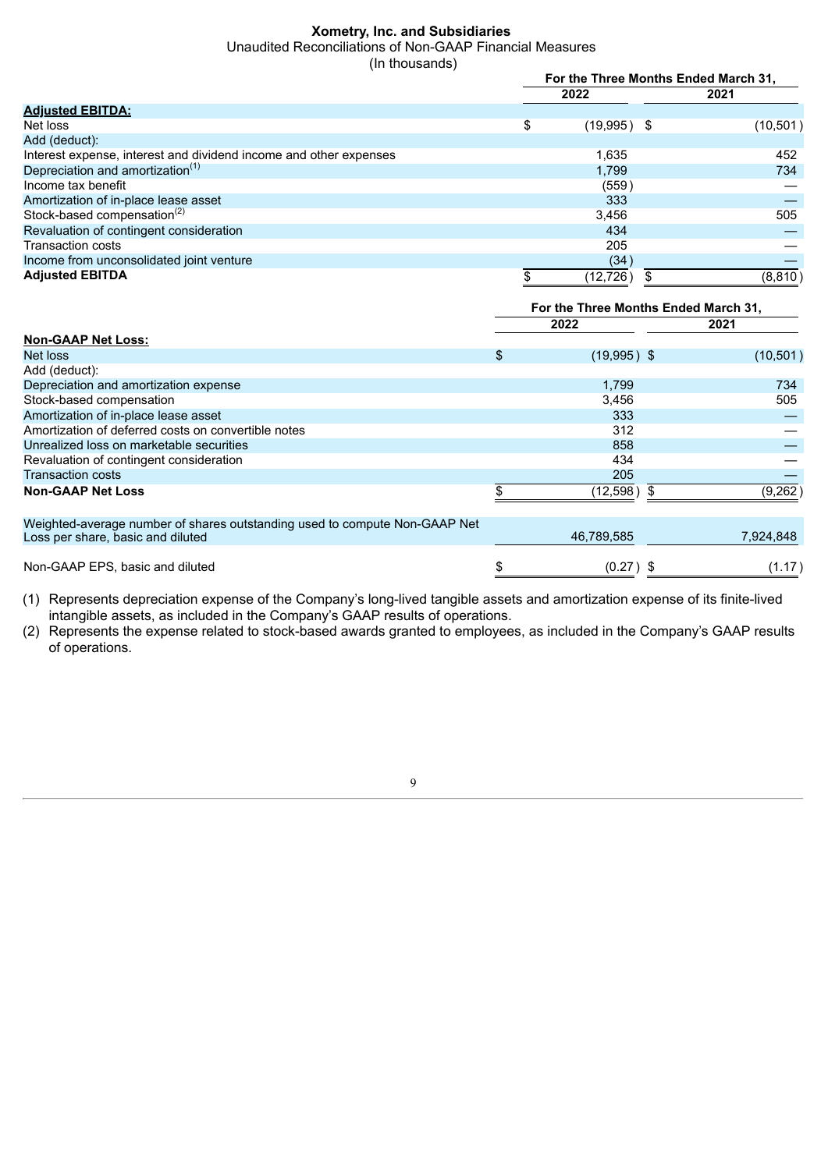Unaudited Reconciliations of Non-GAAP Financial Measures

**For the Three Months Ended March 31,**

|                                                                   | <u>I VI LIIG TIILGG MUILLIIS LIIUGU MAIUIL JT.</u> |               |  |           |
|-------------------------------------------------------------------|----------------------------------------------------|---------------|--|-----------|
|                                                                   |                                                    | 2022          |  | 2021      |
| <b>Adjusted EBITDA:</b>                                           |                                                    |               |  |           |
| Net loss                                                          | \$                                                 | $(19,995)$ \$ |  | (10, 501) |
| Add (deduct):                                                     |                                                    |               |  |           |
| Interest expense, interest and dividend income and other expenses |                                                    | 1,635         |  | 452       |
| Depreciation and amortization <sup>(1)</sup>                      |                                                    | 1,799         |  | 734       |
| Income tax benefit                                                |                                                    | (559)         |  |           |
| Amortization of in-place lease asset                              |                                                    | 333           |  |           |
| Stock-based compensation <sup>(2)</sup>                           |                                                    | 3,456         |  | 505       |
| Revaluation of contingent consideration                           |                                                    | 434           |  |           |
| Transaction costs                                                 |                                                    | 205           |  |           |
| Income from unconsolidated joint venture                          |                                                    | (34)          |  |           |
| <b>Adjusted EBITDA</b>                                            |                                                    | (12, 726)     |  | (8, 810)  |

|                                                                            | For the Three Months Ended March 31, |               |  |           |  |  |
|----------------------------------------------------------------------------|--------------------------------------|---------------|--|-----------|--|--|
|                                                                            | 2022                                 |               |  | 2021      |  |  |
| <b>Non-GAAP Net Loss:</b>                                                  |                                      |               |  |           |  |  |
| Net loss                                                                   | \$                                   | $(19,995)$ \$ |  | (10, 501) |  |  |
| Add (deduct):                                                              |                                      |               |  |           |  |  |
| Depreciation and amortization expense                                      |                                      | 1,799         |  | 734       |  |  |
| Stock-based compensation                                                   |                                      | 3.456         |  | 505       |  |  |
| Amortization of in-place lease asset                                       |                                      | 333           |  |           |  |  |
| Amortization of deferred costs on convertible notes                        |                                      | 312           |  |           |  |  |
| Unrealized loss on marketable securities                                   |                                      | 858           |  |           |  |  |
| Revaluation of contingent consideration                                    |                                      | 434           |  |           |  |  |
| Transaction costs                                                          |                                      | 205           |  |           |  |  |
| <b>Non-GAAP Net Loss</b>                                                   |                                      | $(12,598)$ \$ |  | (9,262)   |  |  |
| Weighted-average number of shares outstanding used to compute Non-GAAP Net |                                      |               |  |           |  |  |
| Loss per share, basic and diluted                                          |                                      | 46,789,585    |  | 7,924,848 |  |  |
| Non-GAAP EPS, basic and diluted                                            |                                      | $(0.27)$ \$   |  | (1.17)    |  |  |

(1) Represents depreciation expense of the Company's long-lived tangible assets and amortization expense of its finite-lived intangible assets, as included in the Company's GAAP results of operations.

(2) Represents the expense related to stock-based awards granted to employees, as included in the Company's GAAP results of operations.

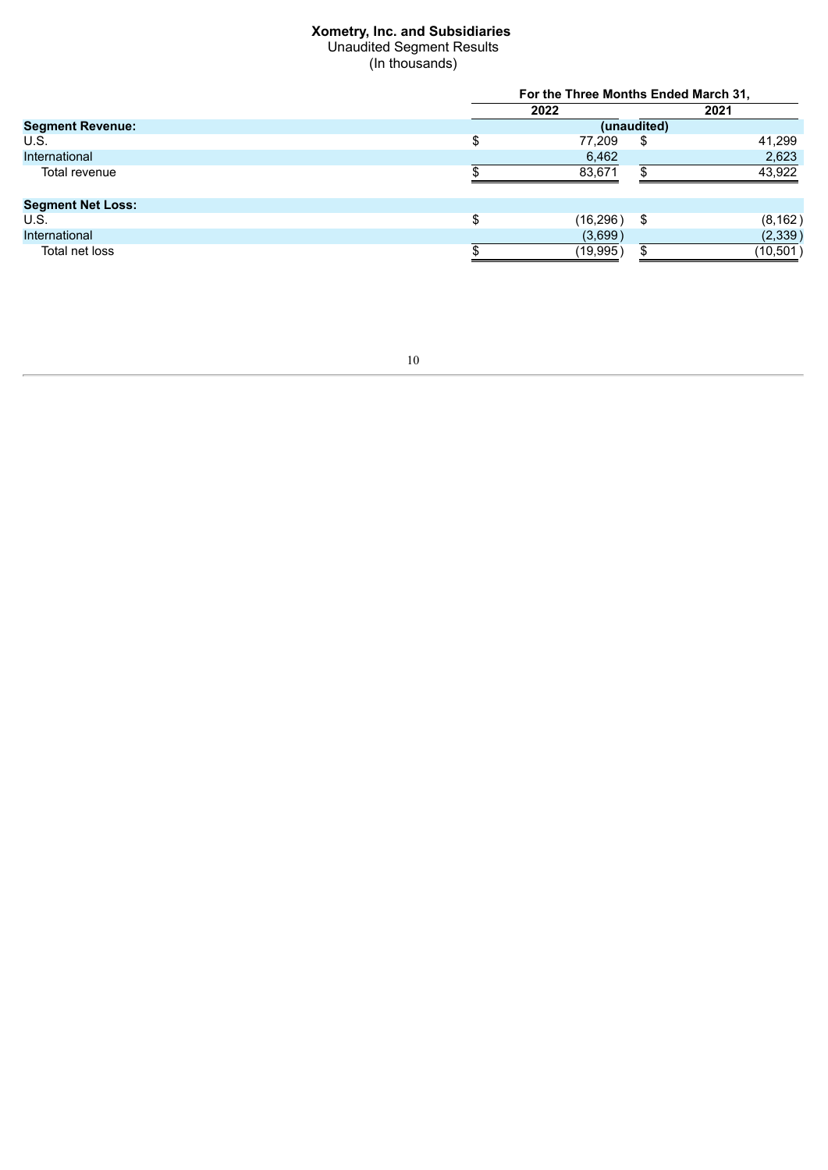Unaudited Segment Results (In thousands)

|                          | For the Three Months Ended March 31, |           |  |  |  |  |
|--------------------------|--------------------------------------|-----------|--|--|--|--|
|                          | 2022                                 | 2021      |  |  |  |  |
| <b>Segment Revenue:</b>  | (unaudited)                          |           |  |  |  |  |
| U.S.                     | 77,209<br>\$                         | 41,299    |  |  |  |  |
| International            | 6,462                                | 2,623     |  |  |  |  |
| Total revenue            | 83,671                               | 43,922    |  |  |  |  |
| <b>Segment Net Loss:</b> |                                      |           |  |  |  |  |
| U.S.                     | (16, 296)<br>\$                      | (8, 162)  |  |  |  |  |
| International            | (3,699)                              | (2, 339)  |  |  |  |  |
| Total net loss           | (19, 995)                            | (10, 501) |  |  |  |  |